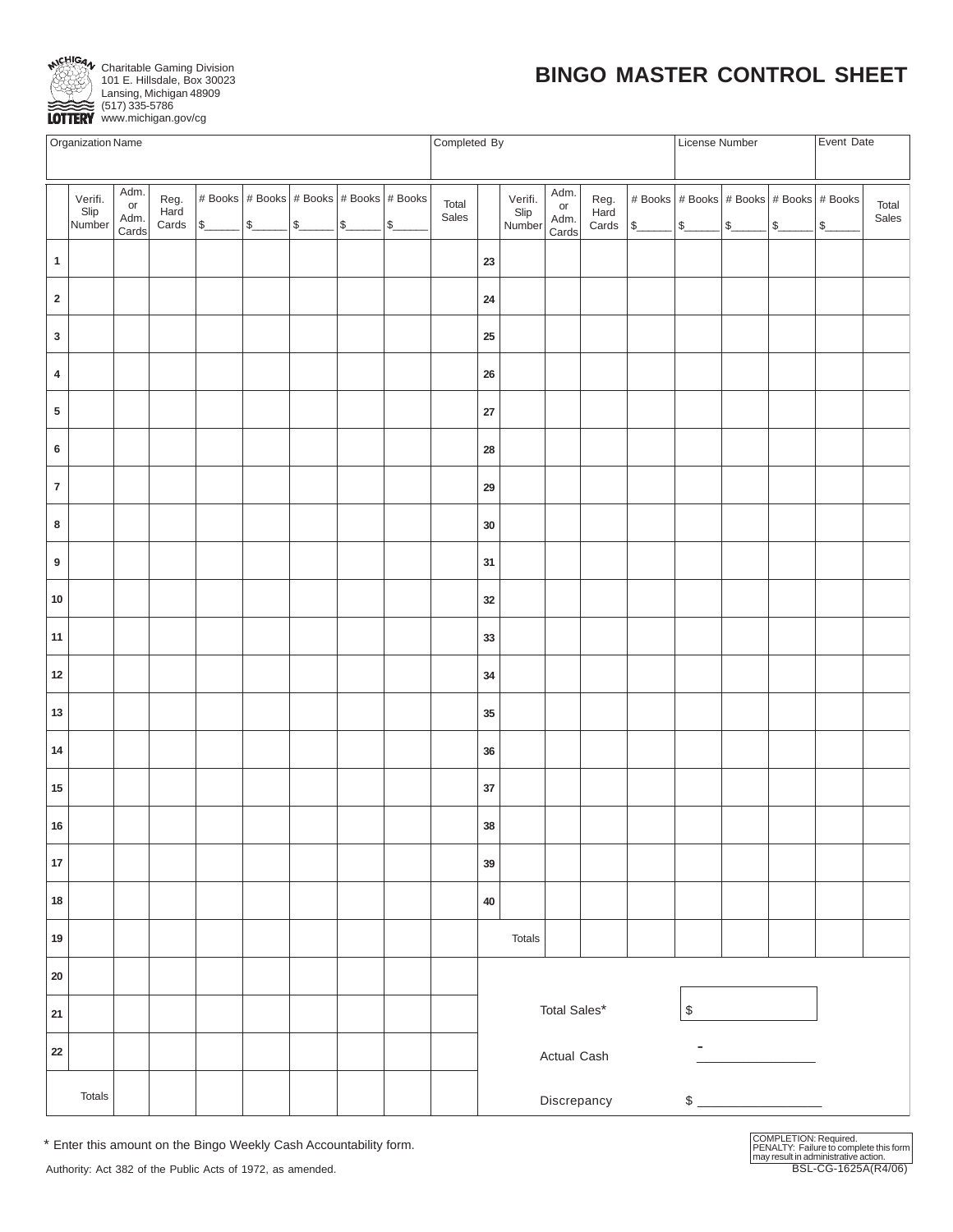

Charitable Gaming Division 101 E. Hillsdale, Box 30023 Lansing, Michigan 48909 (517) 335-5786 LOTTERY www.michigan.gov/cg

# **BINGO MASTER CONTROL SHEET**

| <b>Organization Name</b> |                           |                                                 |                |  |                           |                             |              |  |  | Completed By                                                                        |        |              |                | License Number |                                                   | Event Date |  |  |  |
|--------------------------|---------------------------|-------------------------------------------------|----------------|--|---------------------------|-----------------------------|--------------|--|--|-------------------------------------------------------------------------------------|--------|--------------|----------------|----------------|---------------------------------------------------|------------|--|--|--|
|                          | Verifi.<br>Slip<br>Number | # Books   # Books   # Books   # Books   # Books | Total<br>Sales |  | Verifi.<br>Slip<br>Number | Adm.<br>or<br>Adm.<br>Cards | Reg.<br>Hard |  |  | $ $ # Books $ $ # Books $ $ # Books $ $ # Books $ $ # Books<br>Cards \$ \$ \$ \$ \$ |        |              | Total<br>Sales |                |                                                   |            |  |  |  |
| $\mathbf{1}$             |                           |                                                 |                |  |                           |                             |              |  |  | 23                                                                                  |        |              |                |                |                                                   |            |  |  |  |
| $\mathbf 2$              |                           |                                                 |                |  |                           |                             |              |  |  | ${\bf 24}$                                                                          |        |              |                |                |                                                   |            |  |  |  |
| $\mathbf 3$              |                           |                                                 |                |  |                           |                             |              |  |  | 25                                                                                  |        |              |                |                |                                                   |            |  |  |  |
| $\overline{\mathbf{4}}$  |                           |                                                 |                |  |                           |                             |              |  |  | ${\bf 26}$                                                                          |        |              |                |                |                                                   |            |  |  |  |
| ${\bf 5}$                |                           |                                                 |                |  |                           |                             |              |  |  | $27\,$                                                                              |        |              |                |                |                                                   |            |  |  |  |
| $\bf 6$                  |                           |                                                 |                |  |                           |                             |              |  |  | 28                                                                                  |        |              |                |                |                                                   |            |  |  |  |
| $\bf 7$                  |                           |                                                 |                |  |                           |                             |              |  |  | 29                                                                                  |        |              |                |                |                                                   |            |  |  |  |
| 8                        |                           |                                                 |                |  |                           |                             |              |  |  | $30\,$                                                                              |        |              |                |                |                                                   |            |  |  |  |
| $\boldsymbol{9}$         |                           |                                                 |                |  |                           |                             |              |  |  | 31                                                                                  |        |              |                |                |                                                   |            |  |  |  |
| 10                       |                           |                                                 |                |  |                           |                             |              |  |  | 32                                                                                  |        |              |                |                |                                                   |            |  |  |  |
| 11                       |                           |                                                 |                |  |                           |                             |              |  |  | $33\,$                                                                              |        |              |                |                |                                                   |            |  |  |  |
| $12\,$                   |                           |                                                 |                |  |                           |                             |              |  |  | 34                                                                                  |        |              |                |                |                                                   |            |  |  |  |
| $13\,$                   |                           |                                                 |                |  |                           |                             |              |  |  | 35                                                                                  |        |              |                |                |                                                   |            |  |  |  |
| 14                       |                           |                                                 |                |  |                           |                             |              |  |  | 36                                                                                  |        |              |                |                |                                                   |            |  |  |  |
| $15\,$                   |                           |                                                 |                |  |                           |                             |              |  |  | $37\,$                                                                              |        |              |                |                |                                                   |            |  |  |  |
| ${\bf 16}$               |                           |                                                 |                |  |                           |                             |              |  |  | 38                                                                                  |        |              |                |                |                                                   |            |  |  |  |
| 17                       |                           |                                                 |                |  |                           |                             |              |  |  | 39                                                                                  |        |              |                |                |                                                   |            |  |  |  |
| ${\bf 18}$               |                           |                                                 |                |  |                           |                             |              |  |  | 40                                                                                  |        |              |                |                |                                                   |            |  |  |  |
| 19                       |                           |                                                 |                |  |                           |                             |              |  |  |                                                                                     | Totals |              |                |                |                                                   |            |  |  |  |
| ${\bf 20}$               |                           |                                                 |                |  |                           |                             |              |  |  |                                                                                     |        |              |                |                |                                                   |            |  |  |  |
| ${\bf 21}$               |                           |                                                 |                |  |                           |                             |              |  |  |                                                                                     |        | Total Sales* |                |                | $\, \, \raisebox{-1.5pt}{\text{\circle*{1.5}}}\,$ |            |  |  |  |
| ${\bf 22}$               |                           |                                                 |                |  |                           |                             |              |  |  |                                                                                     |        | Actual Cash  |                |                | -                                                 |            |  |  |  |
|                          | Totals                    |                                                 |                |  |                           |                             |              |  |  | Discrepancy<br>$\qquad \qquad \$$                                                   |        |              |                |                |                                                   |            |  |  |  |

\* Enter this amount on the Bingo Weekly Cash Accountability form.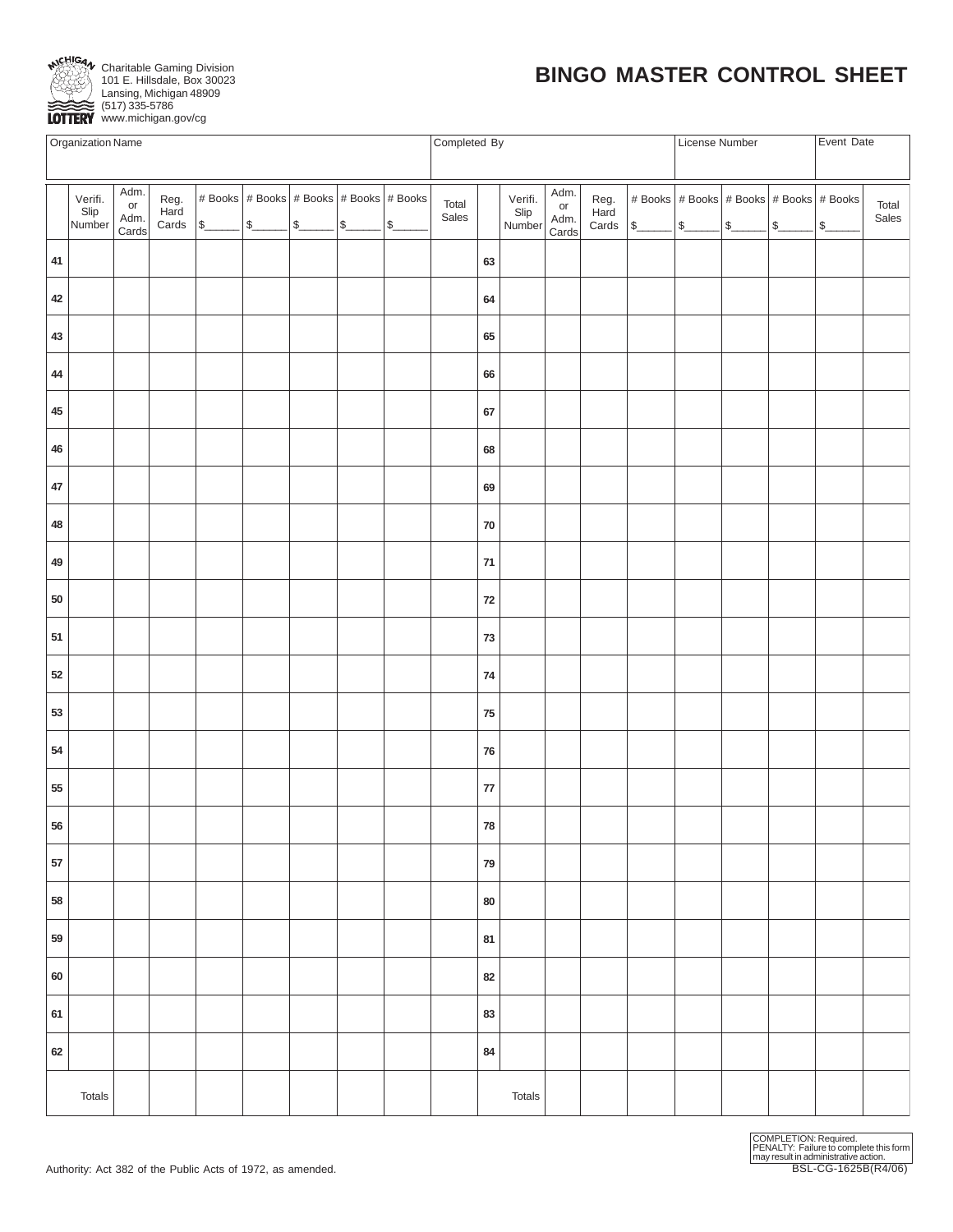

Charitable Gaming Division 101 E. Hillsdale, Box 30023 Lansing, Michigan 48909 (517) 335-5786 EST21335-5786<br> **LOTTERY** www.michigan.gov/cg

# **BINGO MASTER CONTROL SHEET**

|            | Organization Name                                                                                                                                                                                                                                                                                                                                                                                                                                                                                                                                                                |  |  |  |  |  |  |  |                | Completed By |                           |                                                     |                       |               | License Number            |  | Event Date   |                                                                     |                |
|------------|----------------------------------------------------------------------------------------------------------------------------------------------------------------------------------------------------------------------------------------------------------------------------------------------------------------------------------------------------------------------------------------------------------------------------------------------------------------------------------------------------------------------------------------------------------------------------------|--|--|--|--|--|--|--|----------------|--------------|---------------------------|-----------------------------------------------------|-----------------------|---------------|---------------------------|--|--------------|---------------------------------------------------------------------|----------------|
|            |                                                                                                                                                                                                                                                                                                                                                                                                                                                                                                                                                                                  |  |  |  |  |  |  |  |                |              |                           |                                                     |                       |               |                           |  |              |                                                                     |                |
|            | Adm.<br># Books # Books # Books # Books # Books<br>Verifi.<br>Reg.<br>or<br>Slip<br>Number<br>Hard<br>Adm.<br>$\begin{array}{ c c c c c }\n\hline\n\text{Cards} & & \text{\$} & & \text{\$} & \text{\$} & \text{\$} & \text{\$} & \text{\$} & \text{\$} & \text{\$} & \text{\$} & \text{\$} & \text{\$} & \text{\$} & \text{\$} & \text{\$} & \text{\$} & \text{\$} & \text{\$} & \text{\$} & \text{\$} & \text{\$} & \text{\$} & \text{\$} & \text{\$} & \text{\$} & \text{\$} & \text{\$} & \text{\$} & \text{\$} & \text{\$} & \text{\$} & \text{\$} & \text{\$<br>S<br>Cards |  |  |  |  |  |  |  | Total<br>Sales |              | Verifi.<br>Slip<br>Number | Adm.<br>$\mathop{\sf or}\nolimits$<br>Adm.<br>Cards | Reg.<br>Hard<br>Cards | $\frac{1}{2}$ | $\frac{1}{\frac{1}{2}}$ s |  | $ \text{\$}$ | # Books # Books # Books # Books # Books<br>$\sqrt{S_{\frac{1}{2}}}$ | Total<br>Sales |
| 41         |                                                                                                                                                                                                                                                                                                                                                                                                                                                                                                                                                                                  |  |  |  |  |  |  |  |                | 63           |                           |                                                     |                       |               |                           |  |              |                                                                     |                |
| 42         |                                                                                                                                                                                                                                                                                                                                                                                                                                                                                                                                                                                  |  |  |  |  |  |  |  |                | 64           |                           |                                                     |                       |               |                           |  |              |                                                                     |                |
| 43         |                                                                                                                                                                                                                                                                                                                                                                                                                                                                                                                                                                                  |  |  |  |  |  |  |  |                | 65           |                           |                                                     |                       |               |                           |  |              |                                                                     |                |
| 44         |                                                                                                                                                                                                                                                                                                                                                                                                                                                                                                                                                                                  |  |  |  |  |  |  |  |                | 66           |                           |                                                     |                       |               |                           |  |              |                                                                     |                |
| 45         |                                                                                                                                                                                                                                                                                                                                                                                                                                                                                                                                                                                  |  |  |  |  |  |  |  |                | 67           |                           |                                                     |                       |               |                           |  |              |                                                                     |                |
| 46         |                                                                                                                                                                                                                                                                                                                                                                                                                                                                                                                                                                                  |  |  |  |  |  |  |  |                | 68           |                           |                                                     |                       |               |                           |  |              |                                                                     |                |
| 47         |                                                                                                                                                                                                                                                                                                                                                                                                                                                                                                                                                                                  |  |  |  |  |  |  |  |                | 69           |                           |                                                     |                       |               |                           |  |              |                                                                     |                |
| 48         |                                                                                                                                                                                                                                                                                                                                                                                                                                                                                                                                                                                  |  |  |  |  |  |  |  |                | ${\bf 70}$   |                           |                                                     |                       |               |                           |  |              |                                                                     |                |
| 49         |                                                                                                                                                                                                                                                                                                                                                                                                                                                                                                                                                                                  |  |  |  |  |  |  |  |                | $\bf 71$     |                           |                                                     |                       |               |                           |  |              |                                                                     |                |
| ${\bf 50}$ |                                                                                                                                                                                                                                                                                                                                                                                                                                                                                                                                                                                  |  |  |  |  |  |  |  |                | ${\bf 72}$   |                           |                                                     |                       |               |                           |  |              |                                                                     |                |
| 51         |                                                                                                                                                                                                                                                                                                                                                                                                                                                                                                                                                                                  |  |  |  |  |  |  |  |                | 73           |                           |                                                     |                       |               |                           |  |              |                                                                     |                |
| $52\,$     |                                                                                                                                                                                                                                                                                                                                                                                                                                                                                                                                                                                  |  |  |  |  |  |  |  |                | 74           |                           |                                                     |                       |               |                           |  |              |                                                                     |                |
| 53         |                                                                                                                                                                                                                                                                                                                                                                                                                                                                                                                                                                                  |  |  |  |  |  |  |  |                | ${\bf 75}$   |                           |                                                     |                       |               |                           |  |              |                                                                     |                |
| 54         |                                                                                                                                                                                                                                                                                                                                                                                                                                                                                                                                                                                  |  |  |  |  |  |  |  |                | ${\bf 76}$   |                           |                                                     |                       |               |                           |  |              |                                                                     |                |
| 55         |                                                                                                                                                                                                                                                                                                                                                                                                                                                                                                                                                                                  |  |  |  |  |  |  |  |                | ${\bf 77}$   |                           |                                                     |                       |               |                           |  |              |                                                                     |                |
| 56         |                                                                                                                                                                                                                                                                                                                                                                                                                                                                                                                                                                                  |  |  |  |  |  |  |  |                | ${\bf 78}$   |                           |                                                     |                       |               |                           |  |              |                                                                     |                |
| 57         |                                                                                                                                                                                                                                                                                                                                                                                                                                                                                                                                                                                  |  |  |  |  |  |  |  |                | 79           |                           |                                                     |                       |               |                           |  |              |                                                                     |                |
| 58         |                                                                                                                                                                                                                                                                                                                                                                                                                                                                                                                                                                                  |  |  |  |  |  |  |  |                | 80           |                           |                                                     |                       |               |                           |  |              |                                                                     |                |
| 59         |                                                                                                                                                                                                                                                                                                                                                                                                                                                                                                                                                                                  |  |  |  |  |  |  |  |                | 81           |                           |                                                     |                       |               |                           |  |              |                                                                     |                |
| 60         |                                                                                                                                                                                                                                                                                                                                                                                                                                                                                                                                                                                  |  |  |  |  |  |  |  |                | 82           |                           |                                                     |                       |               |                           |  |              |                                                                     |                |
| 61         |                                                                                                                                                                                                                                                                                                                                                                                                                                                                                                                                                                                  |  |  |  |  |  |  |  |                | 83           |                           |                                                     |                       |               |                           |  |              |                                                                     |                |
| 62         |                                                                                                                                                                                                                                                                                                                                                                                                                                                                                                                                                                                  |  |  |  |  |  |  |  |                | 84           |                           |                                                     |                       |               |                           |  |              |                                                                     |                |
|            | Totals                                                                                                                                                                                                                                                                                                                                                                                                                                                                                                                                                                           |  |  |  |  |  |  |  |                |              | Totals                    |                                                     |                       |               |                           |  |              |                                                                     |                |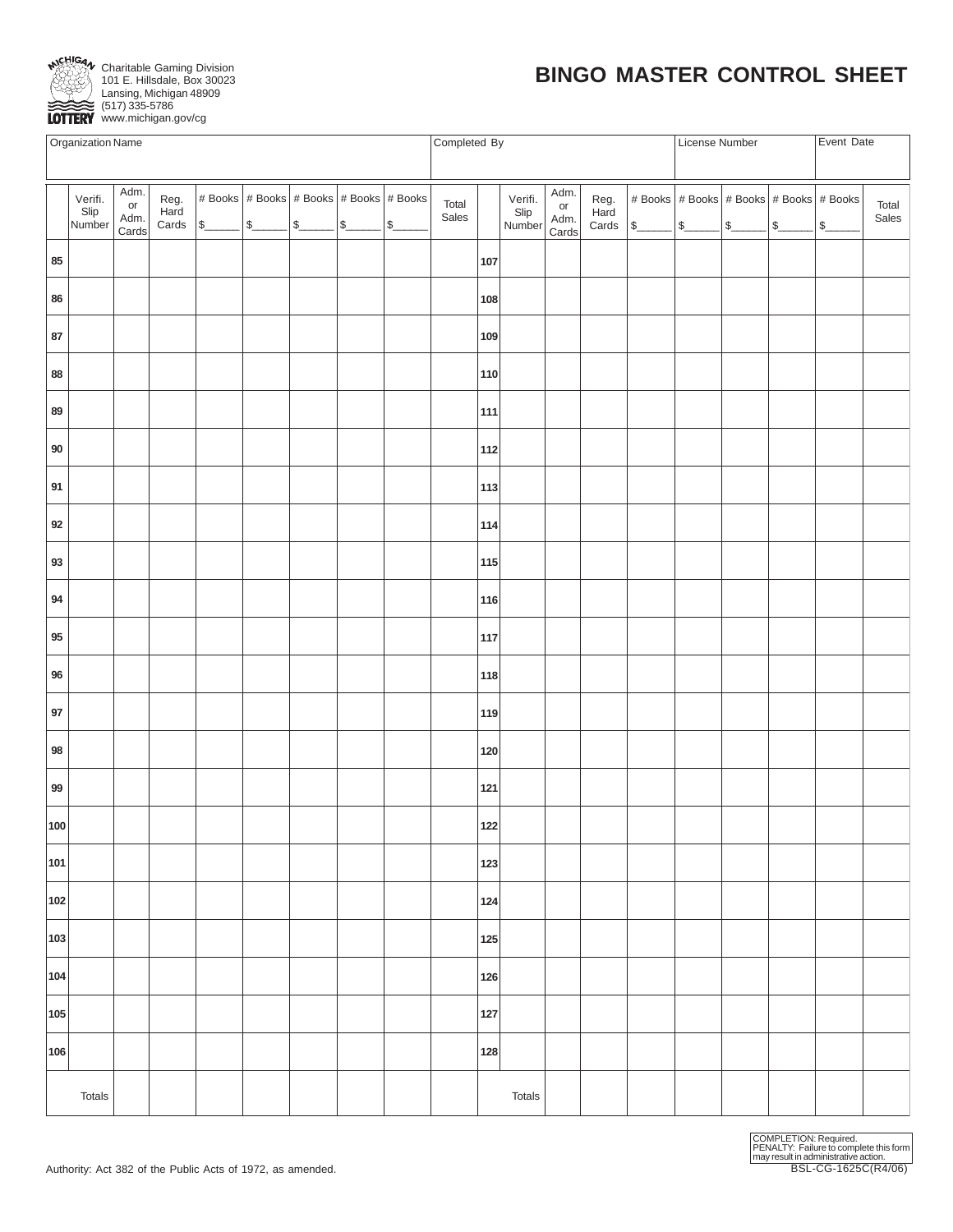

# **BINGO MASTER CONTROL SHEET**

www.michigan.gov/cg

|        | Organization Name                                                                                                                                                                                                                                                                                                                     |  |  |  |  |  |  |  |                |     | Completed By              |                             |                       | License Number                      |  | Event Date                              |  |    |                |  |  |
|--------|---------------------------------------------------------------------------------------------------------------------------------------------------------------------------------------------------------------------------------------------------------------------------------------------------------------------------------------|--|--|--|--|--|--|--|----------------|-----|---------------------------|-----------------------------|-----------------------|-------------------------------------|--|-----------------------------------------|--|----|----------------|--|--|
|        |                                                                                                                                                                                                                                                                                                                                       |  |  |  |  |  |  |  |                |     |                           |                             |                       |                                     |  |                                         |  |    |                |  |  |
|        | Adm.<br># Books   # Books   # Books   # Books   # Books<br>Verifi.<br>Reg.<br>Hard<br>$\mathop{\sf or}\nolimits$<br>Slip<br>Adm.<br>Cards<br>$\frac{\text{Para}}{\text{Cards}}$ $\frac{\text{s}}{\text{s}}$ $\frac{\text{s}}{\text{s}}$ $\frac{\text{s}}{\text{s}}$ $\frac{\text{s}}{\text{s}}$ $\frac{\text{s}}{\text{s}}$<br>Number |  |  |  |  |  |  |  | Total<br>Sales |     | Verifi.<br>Slip<br>Number | Adm.<br>or<br>Adm.<br>Cards | Reg.<br>Hard<br>Cards | $ s\rangle$ $ s\rangle$ $ s\rangle$ |  | # Books # Books # Books # Books # Books |  | \$ | Total<br>Sales |  |  |
| 85     |                                                                                                                                                                                                                                                                                                                                       |  |  |  |  |  |  |  |                | 107 |                           |                             |                       |                                     |  |                                         |  |    |                |  |  |
| 86     |                                                                                                                                                                                                                                                                                                                                       |  |  |  |  |  |  |  |                | 108 |                           |                             |                       |                                     |  |                                         |  |    |                |  |  |
| 87     |                                                                                                                                                                                                                                                                                                                                       |  |  |  |  |  |  |  |                | 109 |                           |                             |                       |                                     |  |                                         |  |    |                |  |  |
| 88     |                                                                                                                                                                                                                                                                                                                                       |  |  |  |  |  |  |  |                | 110 |                           |                             |                       |                                     |  |                                         |  |    |                |  |  |
| 89     |                                                                                                                                                                                                                                                                                                                                       |  |  |  |  |  |  |  |                | 111 |                           |                             |                       |                                     |  |                                         |  |    |                |  |  |
| 90     |                                                                                                                                                                                                                                                                                                                                       |  |  |  |  |  |  |  |                | 112 |                           |                             |                       |                                     |  |                                         |  |    |                |  |  |
| 91     |                                                                                                                                                                                                                                                                                                                                       |  |  |  |  |  |  |  |                | 113 |                           |                             |                       |                                     |  |                                         |  |    |                |  |  |
| 92     |                                                                                                                                                                                                                                                                                                                                       |  |  |  |  |  |  |  |                | 114 |                           |                             |                       |                                     |  |                                         |  |    |                |  |  |
| 93     |                                                                                                                                                                                                                                                                                                                                       |  |  |  |  |  |  |  |                | 115 |                           |                             |                       |                                     |  |                                         |  |    |                |  |  |
| 94     |                                                                                                                                                                                                                                                                                                                                       |  |  |  |  |  |  |  |                | 116 |                           |                             |                       |                                     |  |                                         |  |    |                |  |  |
| 95     |                                                                                                                                                                                                                                                                                                                                       |  |  |  |  |  |  |  |                | 117 |                           |                             |                       |                                     |  |                                         |  |    |                |  |  |
| $96\,$ |                                                                                                                                                                                                                                                                                                                                       |  |  |  |  |  |  |  |                | 118 |                           |                             |                       |                                     |  |                                         |  |    |                |  |  |
| 97     |                                                                                                                                                                                                                                                                                                                                       |  |  |  |  |  |  |  |                | 119 |                           |                             |                       |                                     |  |                                         |  |    |                |  |  |
| 98     |                                                                                                                                                                                                                                                                                                                                       |  |  |  |  |  |  |  |                | 120 |                           |                             |                       |                                     |  |                                         |  |    |                |  |  |
| 99     |                                                                                                                                                                                                                                                                                                                                       |  |  |  |  |  |  |  |                | 121 |                           |                             |                       |                                     |  |                                         |  |    |                |  |  |
| 100    |                                                                                                                                                                                                                                                                                                                                       |  |  |  |  |  |  |  |                | 122 |                           |                             |                       |                                     |  |                                         |  |    |                |  |  |
| 101    |                                                                                                                                                                                                                                                                                                                                       |  |  |  |  |  |  |  |                | 123 |                           |                             |                       |                                     |  |                                         |  |    |                |  |  |
| 102    |                                                                                                                                                                                                                                                                                                                                       |  |  |  |  |  |  |  |                | 124 |                           |                             |                       |                                     |  |                                         |  |    |                |  |  |
| 103    |                                                                                                                                                                                                                                                                                                                                       |  |  |  |  |  |  |  |                | 125 |                           |                             |                       |                                     |  |                                         |  |    |                |  |  |
| 104    |                                                                                                                                                                                                                                                                                                                                       |  |  |  |  |  |  |  |                | 126 |                           |                             |                       |                                     |  |                                         |  |    |                |  |  |
| 105    |                                                                                                                                                                                                                                                                                                                                       |  |  |  |  |  |  |  |                | 127 |                           |                             |                       |                                     |  |                                         |  |    |                |  |  |
| 106    |                                                                                                                                                                                                                                                                                                                                       |  |  |  |  |  |  |  |                | 128 |                           |                             |                       |                                     |  |                                         |  |    |                |  |  |
|        | Totals                                                                                                                                                                                                                                                                                                                                |  |  |  |  |  |  |  |                |     | Totals                    |                             |                       |                                     |  |                                         |  |    |                |  |  |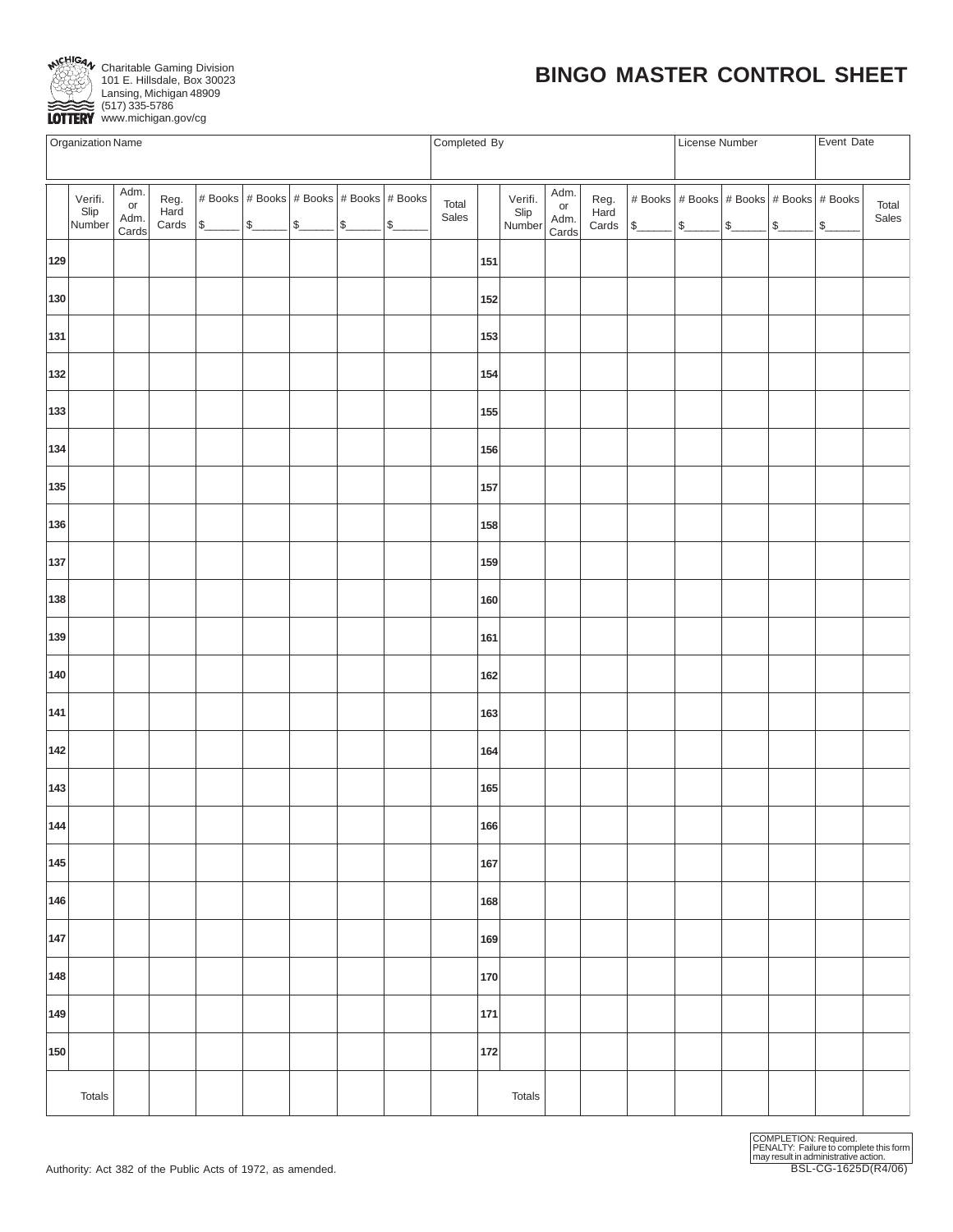

# **BINGO MASTER CONTROL SHEET**

www.michigan.gov/cg

|        | Organization Name                                                                                                             |  |  |  |  |  |  |  |                |        | Completed By              |                             |                       |        | License Number                                  |  | Event Date |               |                |
|--------|-------------------------------------------------------------------------------------------------------------------------------|--|--|--|--|--|--|--|----------------|--------|---------------------------|-----------------------------|-----------------------|--------|-------------------------------------------------|--|------------|---------------|----------------|
|        |                                                                                                                               |  |  |  |  |  |  |  |                |        |                           |                             |                       |        |                                                 |  |            |               |                |
|        | Adm.<br># Books # Books # Books # Books # Books<br>Verifi.<br>Reg.<br>or<br>Slip<br>Number<br>Hard<br>Adm.<br>$\int$<br>Cards |  |  |  |  |  |  |  | Total<br>Sales |        | Verifi.<br>Slip<br>Number | Adm.<br>or<br>Adm.<br>Cards | Reg.<br>Hard<br>Cards | $\int$ | # Books   # Books   # Books   # Books   # Books |  | $ $ \$     | $\frac{1}{2}$ | Total<br>Sales |
| 129    |                                                                                                                               |  |  |  |  |  |  |  |                | 151    |                           |                             |                       |        |                                                 |  |            |               |                |
| 130    |                                                                                                                               |  |  |  |  |  |  |  |                | 152    |                           |                             |                       |        |                                                 |  |            |               |                |
| 131    |                                                                                                                               |  |  |  |  |  |  |  |                | 153    |                           |                             |                       |        |                                                 |  |            |               |                |
| 132    |                                                                                                                               |  |  |  |  |  |  |  |                | 154    |                           |                             |                       |        |                                                 |  |            |               |                |
| 133    |                                                                                                                               |  |  |  |  |  |  |  |                | 155    |                           |                             |                       |        |                                                 |  |            |               |                |
| 134    |                                                                                                                               |  |  |  |  |  |  |  |                | 156    |                           |                             |                       |        |                                                 |  |            |               |                |
| 135    |                                                                                                                               |  |  |  |  |  |  |  |                | 157    |                           |                             |                       |        |                                                 |  |            |               |                |
| 136    |                                                                                                                               |  |  |  |  |  |  |  |                | 158    |                           |                             |                       |        |                                                 |  |            |               |                |
| 137    |                                                                                                                               |  |  |  |  |  |  |  |                | 159    |                           |                             |                       |        |                                                 |  |            |               |                |
| 138    |                                                                                                                               |  |  |  |  |  |  |  |                | 160    |                           |                             |                       |        |                                                 |  |            |               |                |
| 139    |                                                                                                                               |  |  |  |  |  |  |  |                | 161    |                           |                             |                       |        |                                                 |  |            |               |                |
| 140    |                                                                                                                               |  |  |  |  |  |  |  |                | 162    |                           |                             |                       |        |                                                 |  |            |               |                |
| 141    |                                                                                                                               |  |  |  |  |  |  |  |                | 163    |                           |                             |                       |        |                                                 |  |            |               |                |
| 142    |                                                                                                                               |  |  |  |  |  |  |  |                | 164    |                           |                             |                       |        |                                                 |  |            |               |                |
| 143    |                                                                                                                               |  |  |  |  |  |  |  |                | 165    |                           |                             |                       |        |                                                 |  |            |               |                |
| 144    |                                                                                                                               |  |  |  |  |  |  |  |                | 166    |                           |                             |                       |        |                                                 |  |            |               |                |
| 145    |                                                                                                                               |  |  |  |  |  |  |  |                | 167    |                           |                             |                       |        |                                                 |  |            |               |                |
| 146    |                                                                                                                               |  |  |  |  |  |  |  |                | 168    |                           |                             |                       |        |                                                 |  |            |               |                |
| 147    |                                                                                                                               |  |  |  |  |  |  |  |                | 169    |                           |                             |                       |        |                                                 |  |            |               |                |
| 148    |                                                                                                                               |  |  |  |  |  |  |  |                | 170    |                           |                             |                       |        |                                                 |  |            |               |                |
| 149    |                                                                                                                               |  |  |  |  |  |  |  |                | 171    |                           |                             |                       |        |                                                 |  |            |               |                |
| 150    |                                                                                                                               |  |  |  |  |  |  |  |                | 172    |                           |                             |                       |        |                                                 |  |            |               |                |
| Totals |                                                                                                                               |  |  |  |  |  |  |  |                | Totals |                           |                             |                       |        |                                                 |  |            |               |                |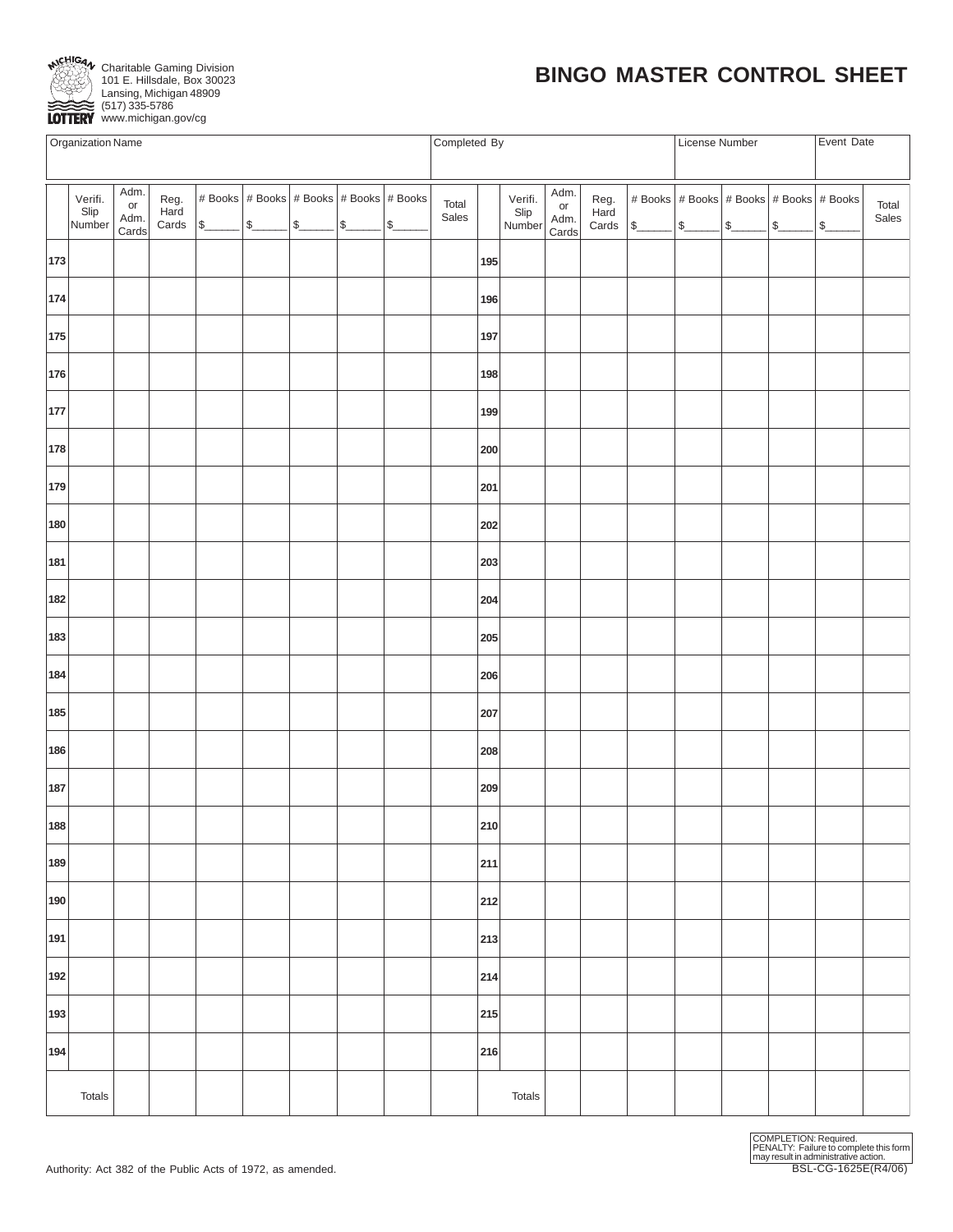

# **BINGO MASTER CONTROL SHEET**

 $\overbrace{ \text{LOTTERY}}$  (517) 335-5786

|     | Organization Name                                                                                                                                     |  |  |  |  |  |  |  |                | Completed By |                           |                             |                       | License Number |                                                 | Event Date |               |                |
|-----|-------------------------------------------------------------------------------------------------------------------------------------------------------|--|--|--|--|--|--|--|----------------|--------------|---------------------------|-----------------------------|-----------------------|----------------|-------------------------------------------------|------------|---------------|----------------|
|     |                                                                                                                                                       |  |  |  |  |  |  |  |                |              |                           |                             |                       |                |                                                 |            |               |                |
|     | Adm.<br># Books   # Books   # Books   # Books   # Books<br>Verifi.<br>Reg.<br>Hard<br>or<br>Slip<br>Adm.<br>s<br>$\Omega$<br>Number<br>Cards<br>Cards |  |  |  |  |  |  |  | Total<br>Sales |              | Verifi.<br>Slip<br>Number | Adm.<br>or<br>Adm.<br>Cards | Reg.<br>Hard<br>Cards |                | # Books   # Books   # Books   # Books   # Books |            | $\frac{1}{2}$ | Total<br>Sales |
| 173 |                                                                                                                                                       |  |  |  |  |  |  |  |                | 195          |                           |                             |                       |                |                                                 |            |               |                |
| 174 |                                                                                                                                                       |  |  |  |  |  |  |  |                | 196          |                           |                             |                       |                |                                                 |            |               |                |
| 175 |                                                                                                                                                       |  |  |  |  |  |  |  |                | 197          |                           |                             |                       |                |                                                 |            |               |                |
| 176 |                                                                                                                                                       |  |  |  |  |  |  |  |                | 198          |                           |                             |                       |                |                                                 |            |               |                |
| 177 |                                                                                                                                                       |  |  |  |  |  |  |  |                | 199          |                           |                             |                       |                |                                                 |            |               |                |
| 178 |                                                                                                                                                       |  |  |  |  |  |  |  |                | 200          |                           |                             |                       |                |                                                 |            |               |                |
| 179 |                                                                                                                                                       |  |  |  |  |  |  |  |                | 201          |                           |                             |                       |                |                                                 |            |               |                |
| 180 |                                                                                                                                                       |  |  |  |  |  |  |  |                | 202          |                           |                             |                       |                |                                                 |            |               |                |
| 181 |                                                                                                                                                       |  |  |  |  |  |  |  |                | 203          |                           |                             |                       |                |                                                 |            |               |                |
| 182 |                                                                                                                                                       |  |  |  |  |  |  |  |                | 204          |                           |                             |                       |                |                                                 |            |               |                |
| 183 |                                                                                                                                                       |  |  |  |  |  |  |  |                | 205          |                           |                             |                       |                |                                                 |            |               |                |
| 184 |                                                                                                                                                       |  |  |  |  |  |  |  |                | 206          |                           |                             |                       |                |                                                 |            |               |                |
| 185 |                                                                                                                                                       |  |  |  |  |  |  |  |                | 207          |                           |                             |                       |                |                                                 |            |               |                |
| 186 |                                                                                                                                                       |  |  |  |  |  |  |  |                | 208          |                           |                             |                       |                |                                                 |            |               |                |
| 187 |                                                                                                                                                       |  |  |  |  |  |  |  |                | 209          |                           |                             |                       |                |                                                 |            |               |                |
| 188 |                                                                                                                                                       |  |  |  |  |  |  |  |                | 210          |                           |                             |                       |                |                                                 |            |               |                |
| 189 |                                                                                                                                                       |  |  |  |  |  |  |  |                | 211          |                           |                             |                       |                |                                                 |            |               |                |
| 190 |                                                                                                                                                       |  |  |  |  |  |  |  |                | 212          |                           |                             |                       |                |                                                 |            |               |                |
| 191 |                                                                                                                                                       |  |  |  |  |  |  |  |                | 213          |                           |                             |                       |                |                                                 |            |               |                |
| 192 |                                                                                                                                                       |  |  |  |  |  |  |  |                | 214          |                           |                             |                       |                |                                                 |            |               |                |
| 193 |                                                                                                                                                       |  |  |  |  |  |  |  |                | 215          |                           |                             |                       |                |                                                 |            |               |                |
| 194 |                                                                                                                                                       |  |  |  |  |  |  |  |                | 216          |                           |                             |                       |                |                                                 |            |               |                |
|     | <b>Totals</b>                                                                                                                                         |  |  |  |  |  |  |  |                |              | Totals                    |                             |                       |                |                                                 |            |               |                |